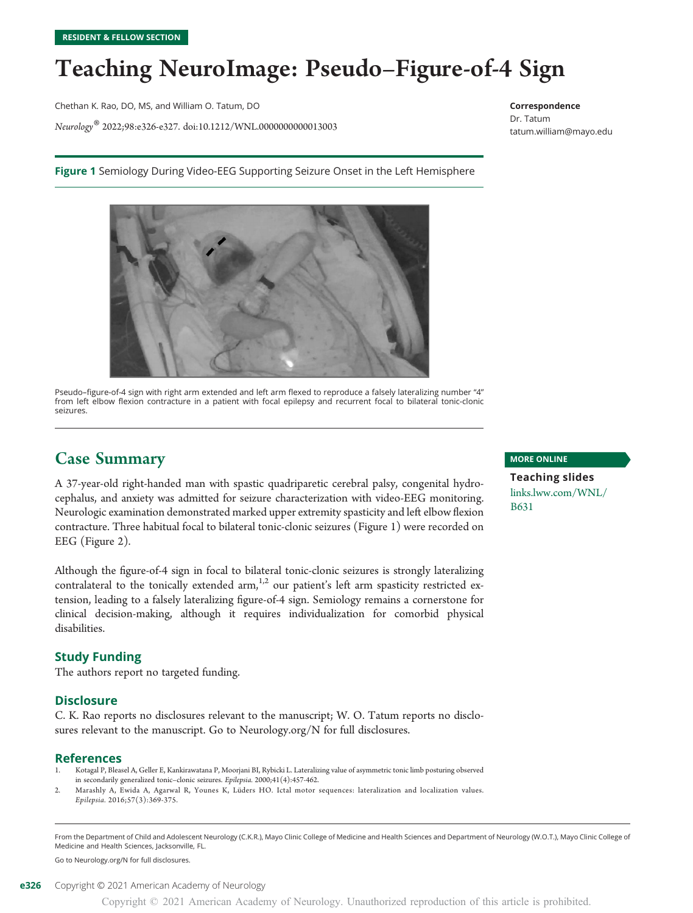## Teaching NeuroImage: Pseudo–Figure-of-4 Sign

Chethan K. Rao, DO, MS, and William O. Tatum, DO

Neurology® 2022;98:e326-e327. doi[:10.1212/WNL.0000000000013003](http://dx.doi.org/10.1212/WNL.0000000000013003)

Figure 1 Semiology During Video-EEG Supporting Seizure Onset in the Left Hemisphere



Pseudo–figure-of-4 sign with right arm extended and left arm flexed to reproduce a falsely lateralizing number "4" from left elbow flexion contracture in a patient with focal epilepsy and recurrent focal to bilateral tonic-clonic seizures.

### Case Summary

A 37-year-old right-handed man with spastic quadriparetic cerebral palsy, congenital hydrocephalus, and anxiety was admitted for seizure characterization with video-EEG monitoring. Neurologic examination demonstrated marked upper extremity spasticity and left elbow flexion contracture. Three habitual focal to bilateral tonic-clonic seizures (Figure 1) were recorded on EEG (Figure 2).

Although the figure-of-4 sign in focal to bilateral tonic-clonic seizures is strongly lateralizing contralateral to the tonically extended arm,<sup>1,2</sup> our patient's left arm spasticity restricted extension, leading to a falsely lateralizing figure-of-4 sign. Semiology remains a cornerstone for clinical decision-making, although it requires individualization for comorbid physical disabilities.

#### Study Funding

The authors report no targeted funding.

#### **Disclosure**

C. K. Rao reports no disclosures relevant to the manuscript; W. O. Tatum reports no disclosures relevant to the manuscript. Go to [Neurology.org/N](https://n.neurology.org/lookup/doi/10.1212/WNL.0000000000013003) for full disclosures.

#### References

- 1. Kotagal P, Bleasel A, Geller E, Kankirawatana P, Moorjani BI, Rybicki L. Lateralizing value of asymmetric tonic limb posturing observed in secondarily generalized tonic–clonic seizures. Epilepsia. 2000;41(4):457-462.
- Marashly A, Ewida A, Agarwal R, Younes K, Lüders HO. Ictal motor sequences: lateralization and localization values. Epilepsia. 2016;57(3):369-375.

From the Department of Child and Adolescent Neurology (C.K.R.), Mayo Clinic College of Medicine and Health Sciences and Department of Neurology (W.O.T.), Mayo Clinic College of Medicine and Health Sciences, Jacksonville, FL.

Go to [Neurology.org/N](https://n.neurology.org/lookup/doi/10.1212/WNL.0000000000013003) for full disclosures.

#### MORE ONLINE

Correspondence Dr. Tatum

[tatum.william@mayo.edu](mailto:tatum.william@mayo.edu)

Teaching slides [links.lww.com/WNL/](http://links.lww.com/WNL/B631) [B631](http://links.lww.com/WNL/B631)

Copyright © 2021 American Academy of Neurology. Unauthorized reproduction of this article is prohibited.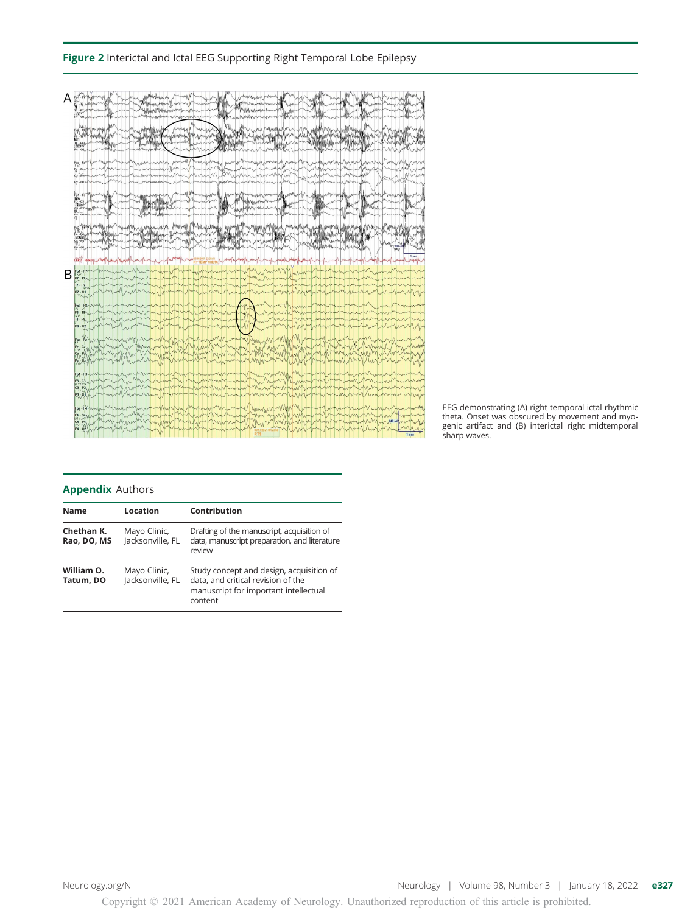#### Figure 2 Interictal and Ictal EEG Supporting Right Temporal Lobe Epilepsy



EEG demonstrating (A) right temporal ictal rhythmic theta. Onset was obscured by movement and myogenic artifact and (B) interictal right midtemporal sharp waves.

#### Appendix Authors

| <b>Name</b>               | Location                         | Contribution                                                                                                                       |
|---------------------------|----------------------------------|------------------------------------------------------------------------------------------------------------------------------------|
| Chethan K.<br>Rao, DO, MS | Mayo Clinic,<br>lacksonville. FL | Drafting of the manuscript, acquisition of<br>data, manuscript preparation, and literature<br>review                               |
| William O.<br>Tatum, DO   | Mayo Clinic,<br>Jacksonville, FL | Study concept and design, acquisition of<br>data, and critical revision of the<br>manuscript for important intellectual<br>content |

[Neurology.org/N](http://neurology.org/n) Neurology | Volume 98, Number 3 | January 18, 2022 e327

Copyright © 2021 American Academy of Neurology. Unauthorized reproduction of this article is prohibited.